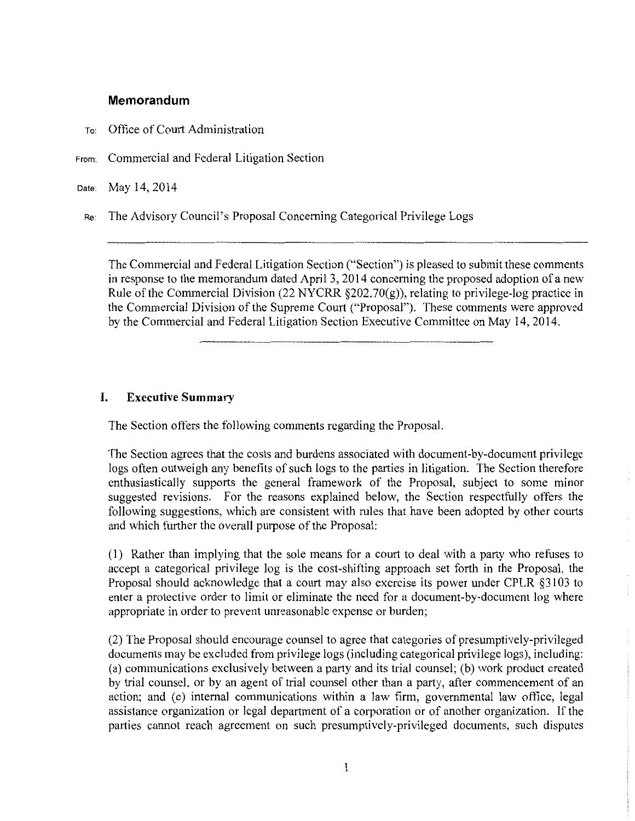### **Memorandum**

- To: Office of Court Administration
- From: Commercial and Federal Litigation Section

Date: May 14, 2014

Re: The Advisory Council's Proposal Concerning Categorical Privilege Logs

The Commercial and Federal Litigation Section ("Section") is pleased to submit these comments in response to the memorandum dated April 3, 2014 concerning the proposed adoption of a new Rule of the Commercial Division (22 NYCRR §202.70(g)), relating to privilege-log practice in the Commercial Division of the Supreme Court ("Proposal"). These comments were approved by the Commercial and Federal Litigation Section Executive Committee on May 14, 2014.

## **I. Executive Summary**

The Section offers the following comments regarding the Proposal.

The Section agrees that the costs and burdens associated with document-by-document privilege logs often outweigh any benefits of such logs to the parties in litigation. The Section therefore enthusiastically supports the general framework of the Proposal, subject to some minor suggested revisions. For the reasons explained below, the Section respectfully offers the following suggestions, which are consistent with rules that have been adopted by other courts and which further the overall purpose of the Proposal:

(1) Rather than implying that the sole means for a court to deal with a party who refuses to accept a categorical privilege log is the cost-shifting approach set forth in the Proposal, the Proposal should acknowledge that a court may also exercise its power under CPLR §3103 to enter a protective order to limit or eliminate the need for a document-by-document log where appropriate in order to prevent unreasonable expense or burden;

(2) The Proposal should encourage counsel to agree that categories of presumptively-privileged documents may be excluded from privilege logs (including categorical privilege logs), including: (a) communications exclusively between a party and its trial counsel; (b) work product created by trial counsel, or by an agent of trial counsel other than a party, after commencement of an action; and (c) internal communications within a law firm, governmental law office, legal assistance organization or legal department of a corporation or of another organization. If the parties cannot reach agreement on such presumptively-privileged documents, such disputes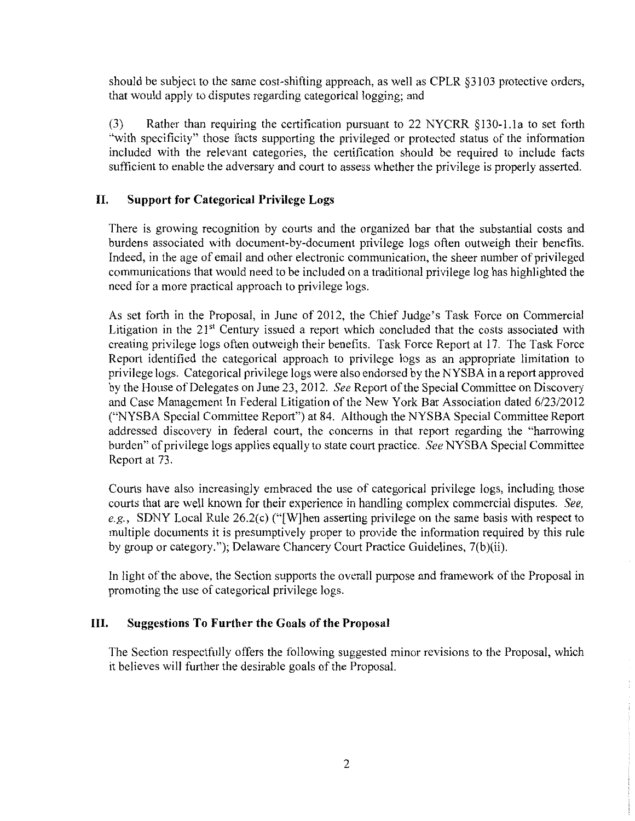should be subject to the same cost-shifting approach, as well as CPLR §3103 protective orders, that would apply to disputes regarding categorical logging; and

(3) Rather than requiring the certification pursuant to 22 NYCRR §130-1.la to set forth "with specificity" those facts supporting the privileged or protected status of the information included with the relevant categories, the certification should be required to include facts sufficient to enable the adversary and court to assess whether the privilege is properly asserted.

# **II. Support for Categorical Privilege Logs**

There is growing recognition by courts and the organized bar that the substantial costs and burdens associated with document-by-document privilege logs often outweigh their benefits. Indeed, in the age of email and other electronic communication, the sheer number of privileged communications that would need to be included on a traditional privilege log has highlighted the need for a more practical approach to privilege logs.

As set forth in the Proposal, in June of 2012, the Chief Judge's Task Force on Commercial Litigation in the  $21<sup>st</sup>$  Century issued a report which concluded that the costs associated with creating privilege logs often outweigh their benefits. Task Force Report at 17. The Task Force Report identified the categorical approach to privilege logs as an appropriate limitation to privilege logs. Categorical privilege logs were also endorsed by the NYSBA in a report approved by the House of Delegates on June 23, 2012. *See* Report of the Special Committee on Discovery and Case Management In Federal Litigation of the New York Bar Association dated 6/23/2012 ("NYSBA Special Committee Report") at 84. Although the NYSBA Special Committee Report addressed discovery in federal court, the concerns in that report regarding the "harrowing burden" of privilege logs applies equally to state court practice. *See* NYSBA Special Committee Report at 73.

Courts have also increasingly embraced the use of categorical privilege logs, including those courts that are well known for their experience in handling complex commercial disputes. *See, e.g.,* SDNY Local Rule 26.2(c) ("[W]hen asserting privilege on the same basis with respect to multiple documents it is presumptively proper to provide the information required by this rule by group or category."); Delaware Chancery Court Practice Guidelines, 7(b)(ii).

In light of the above, the Section supports the overall purpose and framework of the Proposal in promoting the use of categorical privilege logs.

## **III. Suggestions To Further the Goals of the Proposal**

The Section respectfully offers the following suggested minor revisions to the Proposal, which it believes will further the desirable goals of the Proposal.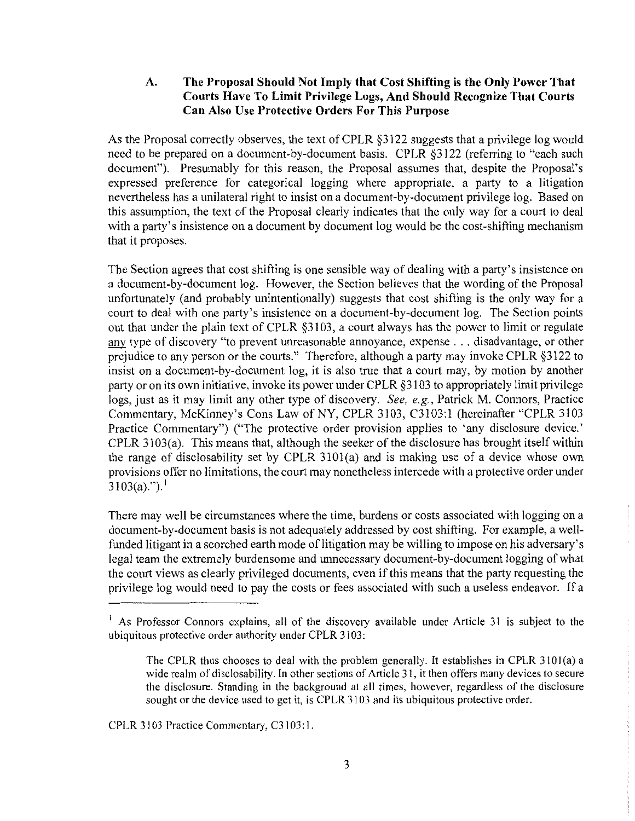### **A. The Proposal Should Not Imply that Cost Shifting is the Only Power That Courts Have To Limit Privilege Logs, And Should Recognize That Courts Can Also Use Protective Orders For This Purpose**

As the Proposal correctly observes, the text of CPLR §3122 suggests that a privilege log would need to be prepared on a document-by-document basis. CPLR §3122 (referring to "each such document"). Presumably for this reason, the Proposal assumes that, despite the Proposal's expressed preference for categorical logging where appropriate, a party to a litigation nevertheless has a unilateral right to insist on a document-by-document privilege log. Based on this assumption, the text of the Proposal clearly indicates that the only way for a court to deal with a party's insistence on a document by document log would be the cost-shifting mechanism that it proposes.

The Section agrees that cost shifting is one sensible way of dealing with a party's insistence on a document-by-document log. However, the Section believes that the wording of the Proposal unfortunately (and probably unintentionally) suggests that cost shifting is the only way for a court to deal with one party's insistence on a document-by-document log. The Section points out that under the plain text of CPLR §3103, a court always has the power to limit or regulate any type of discovery "to prevent unreasonable annoyance, expense ... disadvantage, or other prejudice to any person or the courts." Therefore, although a party may invoke CPLR §3122 to insist on a document-by-document log, it is also true that a court may, by motion by another party or on its own initiative, invoke its power under CPLR §3103 to appropriately limit privilege logs, just as it may limit any other type of discovery. *See, e.g.,* Patrick M. Connors, Practice Commentary, McKinney's Cons Law of NY, CPLR 3103, C3103:1 (hereinafter "CPLR 3103 Practice Commentary") ("The protective order provision applies to 'any disclosure device.' CPLR 3103(a). This means that, although the seeker of the disclosure has brought itself within the range of disclosability set by CPLR 310l(a) and is making use of a device whose own provisions offer no limitations, the court may nonetheless intercede with a protective order under  $3103(a)$ .").<sup>1</sup>

There may well be circumstances where the time, burdens or costs associated with logging on a document-by-document basis is not adequately addressed by cost shifting. For example, a wellfunded litigant in a scorched earth mode of litigation may be willing to impose on his adversary's legal team the extremely burdensome and unnecessary document-by-document logging of what the court views as clearly privileged documents, even if this means that the party requesting the privilege log would need to pay the costs or fees associated with such a useless endeavor. If a

CPLR 3103 Practice Commentary, C3103:1.

<sup>&</sup>lt;sup>1</sup> As Professor Connors explains, all of the discovery available under Article 31 is subject to the ubiquitous protective order authority under CPLR 3103:

The CPLR thus chooses to deal with the problem generally. It establishes in CPLR JIOl(a) a wide realm of disclosability. In other sections of Article 31, it then offers many devices to secure the disclosure. Standing in the background at all times, however, regardless of the disclosure sought or the device used to get it, is CPLR 3103 and its ubiquitous protective order.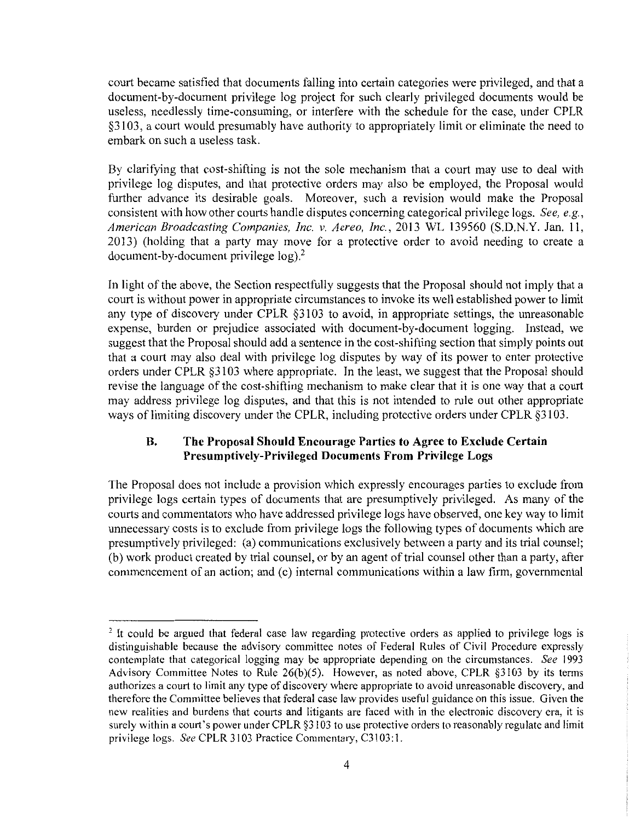court became satisfied that documents falling into certain categories were privileged, and that a document-by-document privilege log project for such clearly privileged documents would be useless, needlessly time-consuming, or interfere with the schedule for the case, under CPLR §3103, a court would presumably have authority to appropriately limit or eliminate the need to embark on such a useless task.

By clarifying that cost-shifting is not the sole mechanism that a court may use to deal with privilege log disputes, and that protective orders may also be employed, the Proposal would further advance its desirable goals. Moreover, such a revision would make the Proposal consistent with how other courts handle disputes concerning categorical privilege logs. *See, e.g., American Broadcasting Companies, Inc. v. Aereo, Inc.,* 2013 WL 139560 (S.D.N.Y. Jan. 11, 2013) (holding that a party may move for a protective order to avoid needing to create a document-by-document privilege  $log<sup>2</sup>$ .

In light of the above, the Section respectfully suggests that the Proposal should not imply that a court is without power in appropriate circumstances to invoke its well established power to limit any type of discovery under CPLR §3103 to avoid, in appropriate settings, the unreasonable expense, burden or prejudice associated with document-by-document logging. Instead, we suggest that the Proposal should add a sentence in the cost-shifting section that simply points out that a court may also deal with privilege log disputes by way of its power to enter protective orders under CPLR §3103 where appropriate. In the least, we suggest that the Proposal should revise the language of the cost-shifting mechanism to make clear that it is one way that a court may address privilege log disputes, and that this is not intended to rule out other appropriate ways of limiting discovery under the CPLR, including protective orders under CPLR §3103.

## **B. The Proposal Should Encourage Parties to Agree to Exclude Certain Presumptively-Privileged Documents From Privilege Logs**

The Proposal does not include a provision which expressly encourages parties to exclude from privilege logs certain types of documents that are presumptively privileged. As many of the courts and commentators who have addressed privilege logs have observed, one key way to limit unnecessary costs is to exclude from privilege logs the following types of documents which are presumptively privileged: (a) communications exclusively between a party and its trial counsel; (b) work product created by trial counsel, or by an agent of trial counsel other than a party, after commencement of an action; and (c) internal communications within a law firm, governmental

<sup>&</sup>lt;sup>2</sup> It could be argued that federal case law regarding protective orders as applied to privilege logs is distinguishable because the advisory committee notes of Federal Rules of Civil Procedure expressly contemplate that categorical logging may be appropriate depending on the circumstances. *See* 1993 Advisory Committee Notes to Rule 26(b)(5). However, as noted above, CPLR §3103 by its terms authorizes a court to limit any type of discovery where appropriate to avoid unreasonable discovery, and therefore the Committee believes that federal case Jaw provides useful guidance on this issue. Given the new realities and burdens that courts and litigants are faced with in the electronic discovery era, it is surely within a court's power under CPLR §3103 to use protective orders to reasonably regulate and limit privilege logs. *See* CPLR 3103 Practice Commentary, C3l03:1.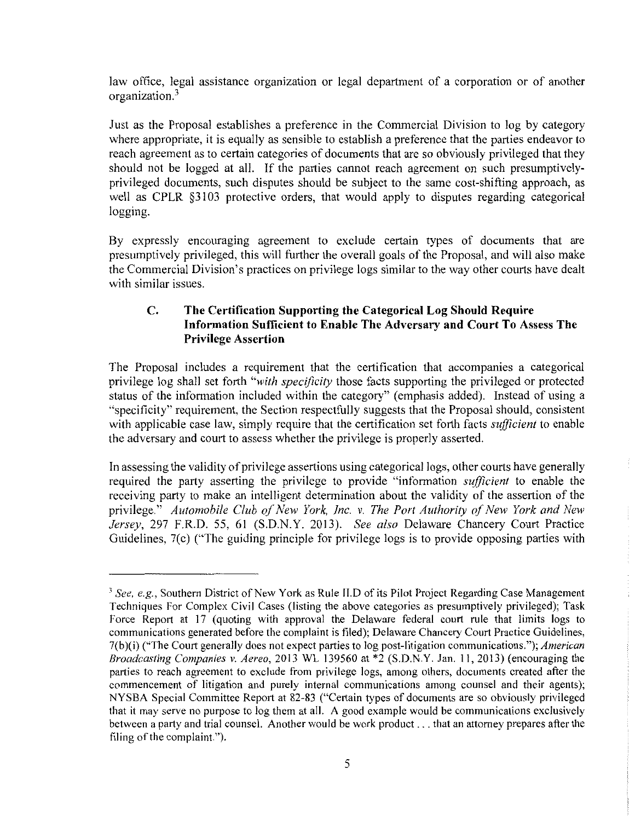law office, legal assistance organization or legal department of a corporation or of another organization.3

Just as the Proposal establishes a preference in the Commercial Division to log by category where appropriate, it is equally as sensible to establish a preference that the parties endeavor to reach agreement as to certain categories of documents that are so obviously privileged that they should not be logged at all. If the parties cannot reach agreement on such presumptivelyprivileged documents, such disputes should be subject to the same cost-shifting approach, as well as CPLR §3103 protective orders, that would apply to disputes regarding categorical logging.

By expressly encouraging agreement to exclude certain types of documents that are presumptively privileged, this will further the overall goals of the Proposal, and will also make the Commercial Division's practices on privilege logs similar to the way other courts have dealt with similar issues.

## **C. The Certification Supporting the Categorical Log Should Require Information Sufficient to Enable The Adversary and Court To Assess The Privilege Assertion**

The Proposal includes a requirement that the certification that accompanies a categorical privilege log shall set forth *"with specificity* those facts supporting the privileged or protected status of the information included within the category" (emphasis added). Instead of using a "specificity" requirement, the Section respectfully suggests that the Proposal should, consistent with applicable case law, simply require that the certification set forth facts *sufficient* to enable the adversary and court to assess whether the privilege is properly asserted.

In assessing the validity of privilege assertions using categorical logs, other courts have generally required the party asserting the privilege to provide "information *sufficient* to enable the receiving party to make an intelligent determination about the validity of the assertion of the privilege." *Automobile Club of New York, Inc. v. The Port Authority of New York and New Jersey,* 297 F.R.D. 55, 61 (S.D.N.Y. 2013). *See also* Delaware Chancery Court Practice Guidelines, 7(c) ("The guiding principle for privilege logs is to provide opposing parties with

<sup>3</sup>*See, e.g.,* Southern District of New York as Rule **ll.D** of its Pilot Project Regarding Case Management Techniques For Complex Civil Cases (listing the above categories as presumptively privileged); Task Force Report at 17 (quoting with approval the Delaware federal court rule that limits logs to communications generated before the complaint is filed); Delaware Chancery Court Practice Guidelines, 7(b)(i) ("The Court generally does not expect parties to log post-litigation communications."); *American Broadcasting Companies v. Aereo,* 2013 WL 139560 at \*2 (S.D.N.Y. Jan. 11, 2013) (encouraging the parties to reach agreement to exclude from privilege logs, among others, documents created after the commencement of litigation and purely internal communications among counsel and their agents); NY SBA Special Committee Report at 82-83 ("Certain types of documents are so obviously privileged that it may serve no purpose to log them at all. A good example would be communications exclusively between a party and trial counsel. Another would be work product ... that an attorney prepares after the filing of the complaint.").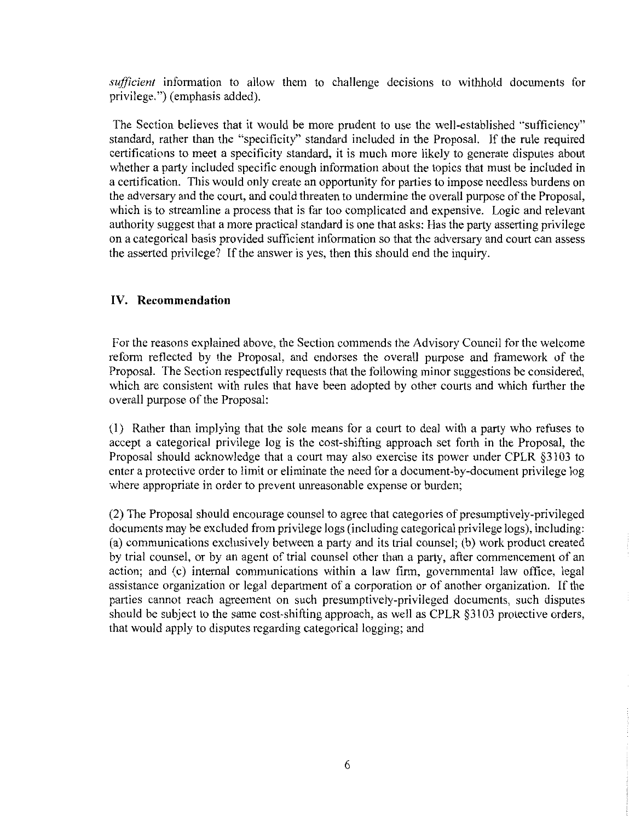*sufficient* information to allow them to challenge decisions to withhold documents for privilege.") (emphasis added).

The Section believes that it would be more prudent to use the well-established "sufficiency" standard, rather than the "specificity" standard included in the Proposal. If the rule required certifications to meet a specificity standard, it is much more likely to generate disputes about whether a party included specific enough information about the topics that must be included in a certification. This would only create an opportunity for parties to impose needless burdens on the adversary and the court, and could threaten to undermine the overall purpose of the Proposal, which is to streamline a process that is far too complicated and expensive. Logic and relevant authority suggest that a more practical standard is one that asks: Has the party asserting privilege on a categorical basis provided sufficient information so that the adversary and court can assess the asserted privilege? If the answer is yes, then this should end the inquiry.

#### **IV. Recommendation**

For the reasons explained above, the Section commends the Advisory Council for the welcome reform reflected by the Proposal, and endorses the overall purpose and framework of the Proposal. The Section respectfully requests that the following minor suggestions be considered, which are consistent with rules that have been adopted by other courts and which further the overall purpose of the Proposal:

(I) Rather than implying that the sole means for a court to deal with a party who refuses to accept a categorical privilege log is the cost-shifting approach set forth in the Proposal, the Proposal should acknowledge that a court may also exercise its power under CPLR §3103 to enter a protective order to limit or eliminate the need for a document-by-document privilege log where appropriate in order to prevent unreasonable expense or burden;

(2) The Proposal should encourage counsel to agree that categories of presumptively-privileged documents may be excluded from privilege logs (including categorical privilege logs), including: (a) communications exclusively between a party and its trial counsel; (b) work product created by trial counsel, or by an agent of trial counsel other than a party, after commencement of an action; and (c) internal communications within a law firm, governmental law office, legal assistance organization or legal department of a corporation or of another organization. If the parties cannot reach agreement on such presumptively-privileged documents, such disputes should be subject to the same cost-shifting approach, as well as CPLR §3103 protective orders, that would apply to disputes regarding categorical logging; and